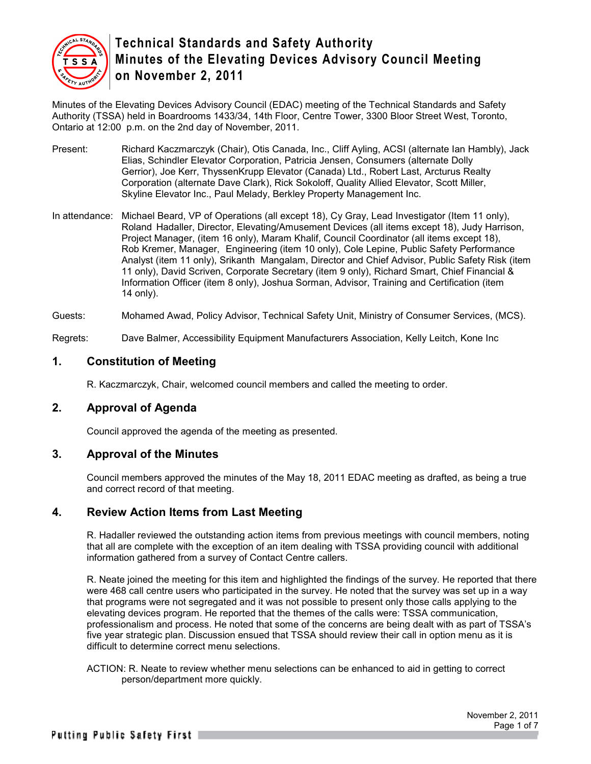

Minutes of the Elevating Devices Advisory Council (EDAC) meeting of the Technical Standards and Safety Authority (TSSA) held in Boardrooms 1433/34, 14th Floor, Centre Tower, 3300 Bloor Street West, Toronto, Ontario at 12:00 p.m. on the 2nd day of November, 2011.

- Present: Richard Kaczmarczyk (Chair), Otis Canada, Inc., Cliff Ayling, ACSI (alternate Ian Hambly), Jack Elias, Schindler Elevator Corporation, Patricia Jensen, Consumers (alternate Dolly Gerrior), Joe Kerr, ThyssenKrupp Elevator (Canada) Ltd., Robert Last, Arcturus Realty Corporation (alternate Dave Clark), Rick Sokoloff, Quality Allied Elevator, Scott Miller, Skyline Elevator Inc., Paul Melady, Berkley Property Management Inc.
- In attendance: Michael Beard, VP of Operations (all except 18), Cy Gray, Lead Investigator (Item 11 only), Roland Hadaller, Director, Elevating/Amusement Devices (all items except 18), Judy Harrison, Project Manager, (item 16 only), Maram Khalif, Council Coordinator (all items except 18), Rob Kremer, Manager, Engineering (item 10 only), Cole Lepine, Public Safety Performance Analyst (item 11 only), Srikanth Mangalam, Director and Chief Advisor, Public Safety Risk (item 11 only), David Scriven, Corporate Secretary (item 9 only), Richard Smart, Chief Financial & Information Officer (item 8 only), Joshua Sorman, Advisor, Training and Certification (item 14 only).

Guests: Mohamed Awad, Policy Advisor, Technical Safety Unit, Ministry of Consumer Services, (MCS).

Regrets: Dave Balmer, Accessibility Equipment Manufacturers Association, Kelly Leitch, Kone Inc

## **1. Constitution of Meeting**

R. Kaczmarczyk, Chair, welcomed council members and called the meeting to order.

### **2. Approval of Agenda**

Council approved the agenda of the meeting as presented.

### **3. Approval of the Minutes**

Council members approved the minutes of the May 18, 2011 EDAC meeting as drafted, as being a true and correct record of that meeting.

#### **4. Review Action Items from Last Meeting**

R. Hadaller reviewed the outstanding action items from previous meetings with council members, noting that all are complete with the exception of an item dealing with TSSA providing council with additional information gathered from a survey of Contact Centre callers.

R. Neate joined the meeting for this item and highlighted the findings of the survey. He reported that there were 468 call centre users who participated in the survey. He noted that the survey was set up in a way that programs were not segregated and it was not possible to present only those calls applying to the elevating devices program. He reported that the themes of the calls were: TSSA communication, professionalism and process. He noted that some of the concerns are being dealt with as part of TSSA's five year strategic plan. Discussion ensued that TSSA should review their call in option menu as it is difficult to determine correct menu selections.

ACTION: R. Neate to review whether menu selections can be enhanced to aid in getting to correct person/department more quickly.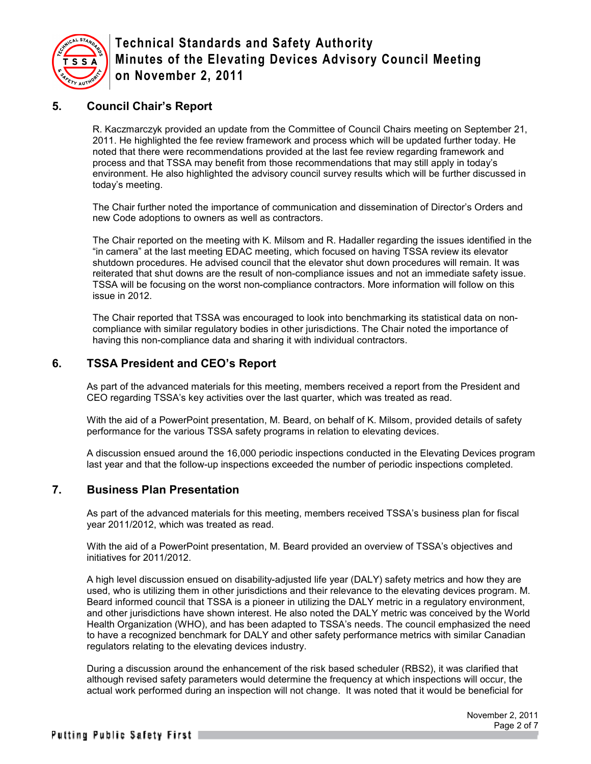

## **5. Council Chair's Report**

R. Kaczmarczyk provided an update from the Committee of Council Chairs meeting on September 21, 2011. He highlighted the fee review framework and process which will be updated further today. He noted that there were recommendations provided at the last fee review regarding framework and process and that TSSA may benefit from those recommendations that may still apply in today's environment. He also highlighted the advisory council survey results which will be further discussed in today's meeting.

The Chair further noted the importance of communication and dissemination of Director's Orders and new Code adoptions to owners as well as contractors.

The Chair reported on the meeting with K. Milsom and R. Hadaller regarding the issues identified in the "in camera" at the last meeting EDAC meeting, which focused on having TSSA review its elevator shutdown procedures. He advised council that the elevator shut down procedures will remain. It was reiterated that shut downs are the result of non-compliance issues and not an immediate safety issue. TSSA will be focusing on the worst non-compliance contractors. More information will follow on this issue in 2012.

The Chair reported that TSSA was encouraged to look into benchmarking its statistical data on noncompliance with similar regulatory bodies in other jurisdictions. The Chair noted the importance of having this non-compliance data and sharing it with individual contractors.

## **6. TSSA President and CEO's Report**

As part of the advanced materials for this meeting, members received a report from the President and CEO regarding TSSA's key activities over the last quarter, which was treated as read.

With the aid of a PowerPoint presentation, M. Beard, on behalf of K. Milsom, provided details of safety performance for the various TSSA safety programs in relation to elevating devices.

A discussion ensued around the 16,000 periodic inspections conducted in the Elevating Devices program last year and that the follow-up inspections exceeded the number of periodic inspections completed.

### **7. Business Plan Presentation**

As part of the advanced materials for this meeting, members received TSSA's business plan for fiscal year 2011/2012, which was treated as read.

With the aid of a PowerPoint presentation, M. Beard provided an overview of TSSA's objectives and initiatives for 2011/2012.

A high level discussion ensued on disability-adjusted life year (DALY) safety metrics and how they are used, who is utilizing them in other jurisdictions and their relevance to the elevating devices program. M. Beard informed council that TSSA is a pioneer in utilizing the DALY metric in a regulatory environment, and other jurisdictions have shown interest. He also noted the DALY metric was conceived by the World Health Organization (WHO), and has been adapted to TSSA's needs. The council emphasized the need to have a recognized benchmark for DALY and other safety performance metrics with similar Canadian regulators relating to the elevating devices industry.

During a discussion around the enhancement of the risk based scheduler (RBS2), it was clarified that although revised safety parameters would determine the frequency at which inspections will occur, the actual work performed during an inspection will not change. It was noted that it would be beneficial for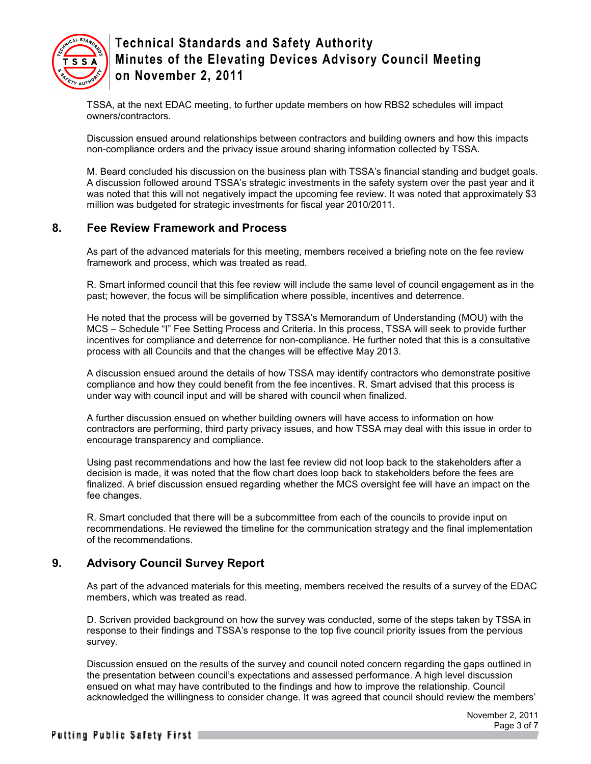

TSSA, at the next EDAC meeting, to further update members on how RBS2 schedules will impact owners/contractors.

Discussion ensued around relationships between contractors and building owners and how this impacts non-compliance orders and the privacy issue around sharing information collected by TSSA.

M. Beard concluded his discussion on the business plan with TSSA's financial standing and budget goals. A discussion followed around TSSA's strategic investments in the safety system over the past year and it was noted that this will not negatively impact the upcoming fee review. It was noted that approximately \$3 million was budgeted for strategic investments for fiscal year 2010/2011.

### **8. Fee Review Framework and Process**

As part of the advanced materials for this meeting, members received a briefing note on the fee review framework and process, which was treated as read.

R. Smart informed council that this fee review will include the same level of council engagement as in the past; however, the focus will be simplification where possible, incentives and deterrence.

He noted that the process will be governed by TSSA's Memorandum of Understanding (MOU) with the MCS – Schedule "I" Fee Setting Process and Criteria. In this process, TSSA will seek to provide further incentives for compliance and deterrence for non-compliance. He further noted that this is a consultative process with all Councils and that the changes will be effective May 2013.

A discussion ensued around the details of how TSSA may identify contractors who demonstrate positive compliance and how they could benefit from the fee incentives. R. Smart advised that this process is under way with council input and will be shared with council when finalized.

A further discussion ensued on whether building owners will have access to information on how contractors are performing, third party privacy issues, and how TSSA may deal with this issue in order to encourage transparency and compliance.

Using past recommendations and how the last fee review did not loop back to the stakeholders after a decision is made, it was noted that the flow chart does loop back to stakeholders before the fees are finalized. A brief discussion ensued regarding whether the MCS oversight fee will have an impact on the fee changes.

R. Smart concluded that there will be a subcommittee from each of the councils to provide input on recommendations. He reviewed the timeline for the communication strategy and the final implementation of the recommendations.

### **9. Advisory Council Survey Report**

As part of the advanced materials for this meeting, members received the results of a survey of the EDAC members, which was treated as read.

D. Scriven provided background on how the survey was conducted, some of the steps taken by TSSA in response to their findings and TSSA's response to the top five council priority issues from the pervious survey.

Discussion ensued on the results of the survey and council noted concern regarding the gaps outlined in the presentation between council's expectations and assessed performance. A high level discussion ensued on what may have contributed to the findings and how to improve the relationship. Council acknowledged the willingness to consider change. It was agreed that council should review the members'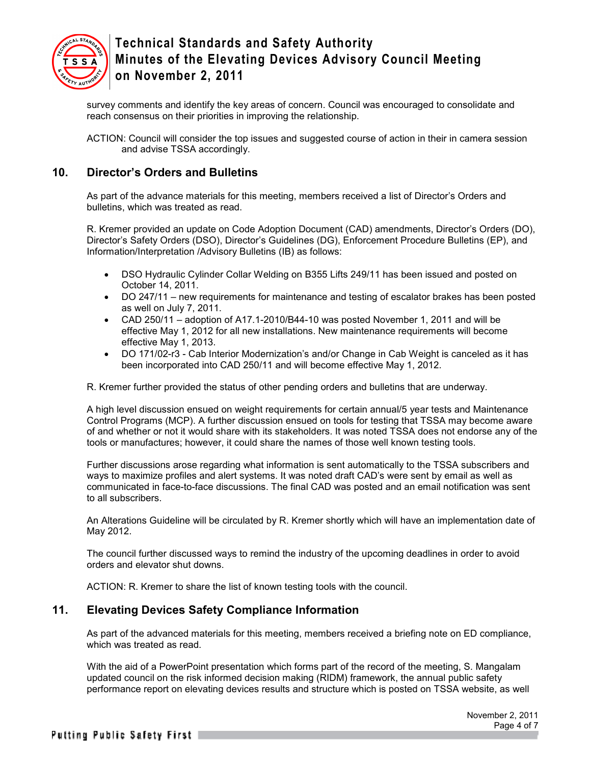

survey comments and identify the key areas of concern. Council was encouraged to consolidate and reach consensus on their priorities in improving the relationship.

ACTION: Council will consider the top issues and suggested course of action in their in camera session and advise TSSA accordingly.

## **10. Director's Orders and Bulletins**

As part of the advance materials for this meeting, members received a list of Director's Orders and bulletins, which was treated as read.

R. Kremer provided an update on Code Adoption Document (CAD) amendments, Director's Orders (DO), Director's Safety Orders (DSO), Director's Guidelines (DG), Enforcement Procedure Bulletins (EP), and Information/Interpretation /Advisory Bulletins (IB) as follows:

- DSO Hydraulic Cylinder Collar Welding on B355 Lifts 249/11 has been issued and posted on October 14, 2011.
- DO 247/11 new requirements for maintenance and testing of escalator brakes has been posted as well on July 7, 2011.
- CAD 250/11 adoption of A17.1-2010/B44-10 was posted November 1, 2011 and will be effective May 1, 2012 for all new installations. New maintenance requirements will become effective May 1, 2013.
- DO 171/02-r3 Cab Interior Modernization's and/or Change in Cab Weight is canceled as it has been incorporated into CAD 250/11 and will become effective May 1, 2012.

R. Kremer further provided the status of other pending orders and bulletins that are underway.

A high level discussion ensued on weight requirements for certain annual/5 year tests and Maintenance Control Programs (MCP). A further discussion ensued on tools for testing that TSSA may become aware of and whether or not it would share with its stakeholders. It was noted TSSA does not endorse any of the tools or manufactures; however, it could share the names of those well known testing tools.

Further discussions arose regarding what information is sent automatically to the TSSA subscribers and ways to maximize profiles and alert systems. It was noted draft CAD's were sent by email as well as communicated in face-to-face discussions. The final CAD was posted and an email notification was sent to all subscribers.

An Alterations Guideline will be circulated by R. Kremer shortly which will have an implementation date of May 2012.

The council further discussed ways to remind the industry of the upcoming deadlines in order to avoid orders and elevator shut downs.

ACTION: R. Kremer to share the list of known testing tools with the council.

## **11. Elevating Devices Safety Compliance Information**

As part of the advanced materials for this meeting, members received a briefing note on ED compliance, which was treated as read.

With the aid of a PowerPoint presentation which forms part of the record of the meeting, S. Mangalam updated council on the risk informed decision making (RIDM) framework, the annual public safety performance report on elevating devices results and structure which is posted on TSSA website, as well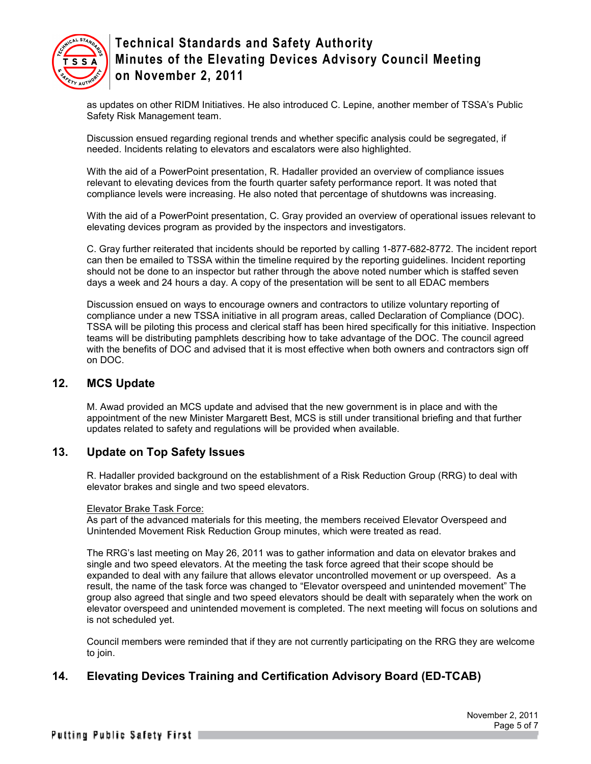

as updates on other RIDM Initiatives. He also introduced C. Lepine, another member of TSSA's Public Safety Risk Management team.

Discussion ensued regarding regional trends and whether specific analysis could be segregated, if needed. Incidents relating to elevators and escalators were also highlighted.

With the aid of a PowerPoint presentation, R. Hadaller provided an overview of compliance issues relevant to elevating devices from the fourth quarter safety performance report. It was noted that compliance levels were increasing. He also noted that percentage of shutdowns was increasing.

With the aid of a PowerPoint presentation, C. Gray provided an overview of operational issues relevant to elevating devices program as provided by the inspectors and investigators.

C. Gray further reiterated that incidents should be reported by calling 1-877-682-8772. The incident report can then be emailed to TSSA within the timeline required by the reporting guidelines. Incident reporting should not be done to an inspector but rather through the above noted number which is staffed seven days a week and 24 hours a day. A copy of the presentation will be sent to all EDAC members

Discussion ensued on ways to encourage owners and contractors to utilize voluntary reporting of compliance under a new TSSA initiative in all program areas, called Declaration of Compliance (DOC). TSSA will be piloting this process and clerical staff has been hired specifically for this initiative. Inspection teams will be distributing pamphlets describing how to take advantage of the DOC. The council agreed with the benefits of DOC and advised that it is most effective when both owners and contractors sign off on DOC.

#### **12. MCS Update**

M. Awad provided an MCS update and advised that the new government is in place and with the appointment of the new Minister Margarett Best, MCS is still under transitional briefing and that further updates related to safety and regulations will be provided when available.

### **13. Update on Top Safety Issues**

R. Hadaller provided background on the establishment of a Risk Reduction Group (RRG) to deal with elevator brakes and single and two speed elevators.

#### Elevator Brake Task Force:

As part of the advanced materials for this meeting, the members received Elevator Overspeed and Unintended Movement Risk Reduction Group minutes, which were treated as read.

The RRG's last meeting on May 26, 2011 was to gather information and data on elevator brakes and single and two speed elevators. At the meeting the task force agreed that their scope should be expanded to deal with any failure that allows elevator uncontrolled movement or up overspeed. As a result, the name of the task force was changed to "Elevator overspeed and unintended movement" The group also agreed that single and two speed elevators should be dealt with separately when the work on elevator overspeed and unintended movement is completed. The next meeting will focus on solutions and is not scheduled yet.

Council members were reminded that if they are not currently participating on the RRG they are welcome to join.

## **14. Elevating Devices Training and Certification Advisory Board (ED-TCAB)**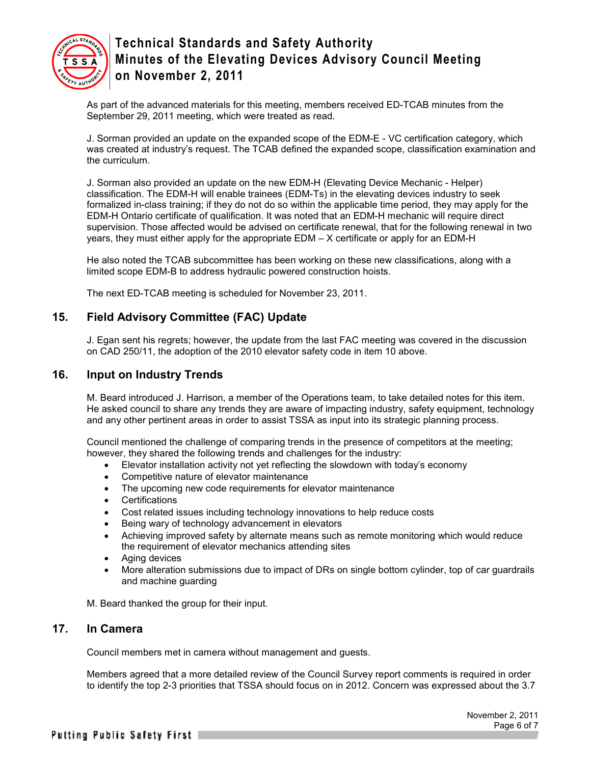

As part of the advanced materials for this meeting, members received ED-TCAB minutes from the September 29, 2011 meeting, which were treated as read.

J. Sorman provided an update on the expanded scope of the EDM-E - VC certification category, which was created at industry's request. The TCAB defined the expanded scope, classification examination and the curriculum.

J. Sorman also provided an update on the new EDM-H (Elevating Device Mechanic - Helper) classification. The EDM-H will enable trainees (EDM-Ts) in the elevating devices industry to seek formalized in-class training; if they do not do so within the applicable time period, they may apply for the EDM-H Ontario certificate of qualification. It was noted that an EDM-H mechanic will require direct supervision. Those affected would be advised on certificate renewal, that for the following renewal in two years, they must either apply for the appropriate EDM – X certificate or apply for an EDM-H

He also noted the TCAB subcommittee has been working on these new classifications, along with a limited scope EDM-B to address hydraulic powered construction hoists.

The next ED-TCAB meeting is scheduled for November 23, 2011.

## **15. Field Advisory Committee (FAC) Update**

J. Egan sent his regrets; however, the update from the last FAC meeting was covered in the discussion on CAD 250/11, the adoption of the 2010 elevator safety code in item 10 above.

### **16. Input on Industry Trends**

M. Beard introduced J. Harrison, a member of the Operations team, to take detailed notes for this item. He asked council to share any trends they are aware of impacting industry, safety equipment, technology and any other pertinent areas in order to assist TSSA as input into its strategic planning process.

Council mentioned the challenge of comparing trends in the presence of competitors at the meeting; however, they shared the following trends and challenges for the industry:

- Elevator installation activity not yet reflecting the slowdown with today's economy
- Competitive nature of elevator maintenance
- The upcoming new code requirements for elevator maintenance
- Certifications
- Cost related issues including technology innovations to help reduce costs
- Being wary of technology advancement in elevators
- Achieving improved safety by alternate means such as remote monitoring which would reduce the requirement of elevator mechanics attending sites
- Aging devices
- More alteration submissions due to impact of DRs on single bottom cylinder, top of car guardrails and machine guarding

M. Beard thanked the group for their input.

#### **17. In Camera**

Council members met in camera without management and guests.

Members agreed that a more detailed review of the Council Survey report comments is required in order to identify the top 2-3 priorities that TSSA should focus on in 2012. Concern was expressed about the 3.7